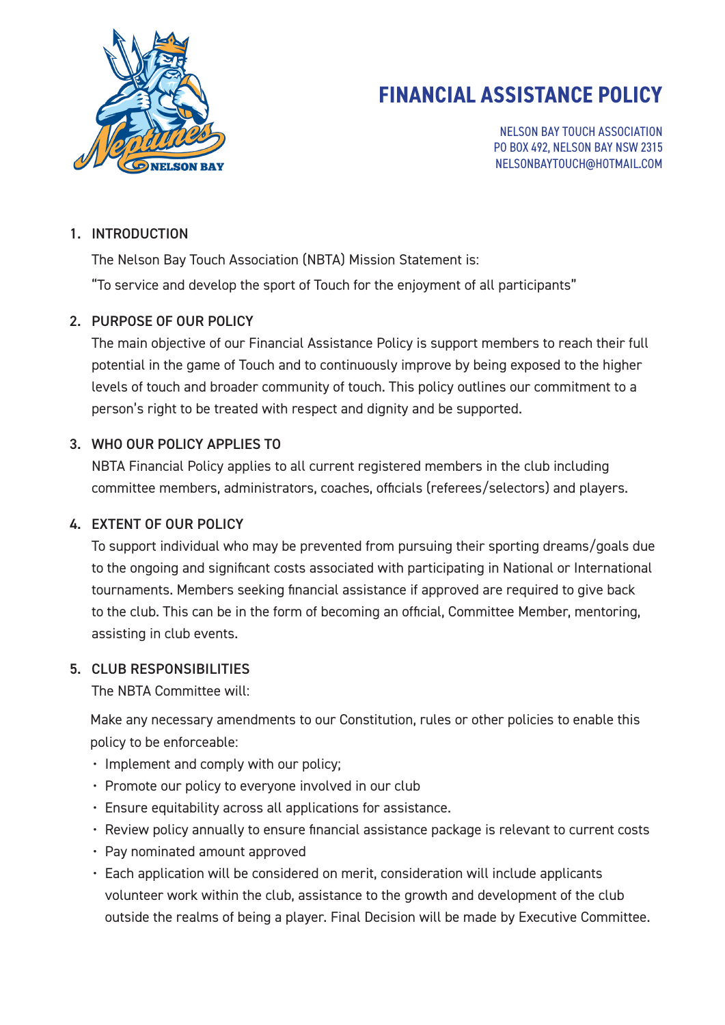

# **FINANCIAL ASSISTANCE POLICY**

NELSON BAY TOUCH ASSOCIATION PO BOX 492, NELSON BAY NSW 2315 NELSONBAYTOUCH@HOTMAIL.COM

#### 1. INTRODUCTION

The Nelson Bay Touch Association (NBTA) Mission Statement is:

"To service and develop the sport of Touch for the enjoyment of all participants"

### 2. PURPOSE OF OUR POLICY

The main objective of our Financial Assistance Policy is support members to reach their full potential in the game of Touch and to continuously improve by being exposed to the higher levels of touch and broader community of touch. This policy outlines our commitment to a person's right to be treated with respect and dignity and be supported.

## 3. WHO OUR POLICY APPLIES TO

NBTA Financial Policy applies to all current registered members in the club including committee members, administrators, coaches, officials (referees/selectors) and players.

### 4. EXTENT OF OUR POLICY

To support individual who may be prevented from pursuing their sporting dreams/goals due to the ongoing and significant costs associated with participating in National or International tournaments. Members seeking financial assistance if approved are required to give back to the club. This can be in the form of becoming an official, Committee Member, mentoring, assisting in club events.

### 5. CLUB RESPONSIBILITIES

The NBTA Committee will:

Make any necessary amendments to our Constitution, rules or other policies to enable this policy to be enforceable:

- Implement and comply with our policy;
- Promote our policy to everyone involved in our club
- Ensure equitability across all applications for assistance.
- Review policy annually to ensure financial assistance package is relevant to current costs
- Pay nominated amount approved
- Each application will be considered on merit, consideration will include applicants volunteer work within the club, assistance to the growth and development of the club outside the realms of being a player. Final Decision will be made by Executive Committee.